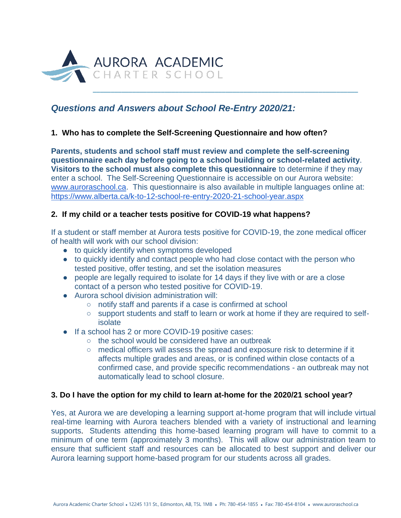

# *Questions and Answers about School Re-Entry 2020/21:*

# **1. Who has to complete the Self-Screening Questionnaire and how often?**

**Parents, students and school staff must review and complete the self-screening questionnaire each day before going to a school building or school-related activity**. **Visitors to the school must also complete this questionnaire** to determine if they may enter a school. The Self-Screening Questionnaire is accessible on our Aurora website: [www.auroraschool.ca.](http://www.auroraschool.ca/) This questionnaire is also available in multiple languages online at: <https://www.alberta.ca/k-to-12-school-re-entry-2020-21-school-year.aspx>

# **2. If my child or a teacher tests positive for COVID-19 what happens?**

If a student or staff member at Aurora tests positive for COVID-19, the zone medical officer of health will work with our school division:

- to quickly identify when symptoms developed
- to quickly identify and contact people who had close contact with the person who tested positive, offer testing, and set the isolation measures
- people are legally required to isolate for 14 days if they live with or are a close contact of a person who tested positive for COVID-19.
- Aurora school division administration will:
	- notify staff and parents if a case is confirmed at school
	- support students and staff to learn or work at home if they are required to selfisolate
- If a school has 2 or more COVID-19 positive cases:
	- the school would be considered have an outbreak
	- medical officers will assess the spread and exposure risk to determine if it affects multiple grades and areas, or is confined within close contacts of a confirmed case, and provide specific recommendations - an outbreak may not automatically lead to school closure.

# **3. Do I have the option for my child to learn at-home for the 2020/21 school year?**

Yes, at Aurora we are developing a learning support at-home program that will include virtual real-time learning with Aurora teachers blended with a variety of instructional and learning supports. Students attending this home-based learning program will have to commit to a minimum of one term (approximately 3 months). This will allow our administration team to ensure that sufficient staff and resources can be allocated to best support and deliver our Aurora learning support home-based program for our students across all grades.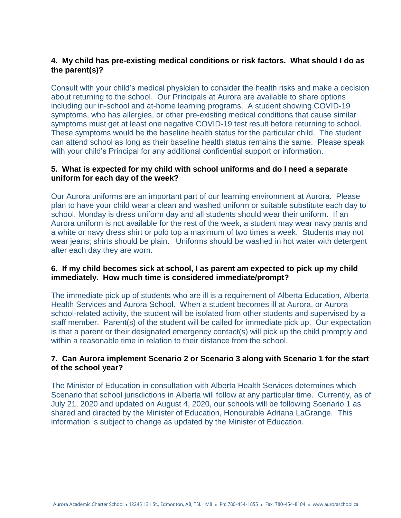# **4. My child has pre-existing medical conditions or risk factors. What should I do as the parent(s)?**

Consult with your child's medical physician to consider the health risks and make a decision about returning to the school. Our Principals at Aurora are available to share options including our in-school and at-home learning programs. A student showing COVID-19 symptoms, who has allergies, or other pre-existing medical conditions that cause similar symptoms must get at least one negative COVID-19 test result before returning to school. These symptoms would be the baseline health status for the particular child. The student can attend school as long as their baseline health status remains the same. Please speak with your child's Principal for any additional confidential support or information.

# **5. What is expected for my child with school uniforms and do I need a separate uniform for each day of the week?**

Our Aurora uniforms are an important part of our learning environment at Aurora. Please plan to have your child wear a clean and washed uniform or suitable substitute each day to school. Monday is dress uniform day and all students should wear their uniform. If an Aurora uniform is not available for the rest of the week, a student may wear navy pants and a white or navy dress shirt or polo top a maximum of two times a week. Students may not wear jeans; shirts should be plain. Uniforms should be washed in hot water with detergent after each day they are worn.

# **6. If my child becomes sick at school, I as parent am expected to pick up my child immediately. How much time is considered immediate/prompt?**

The immediate pick up of students who are ill is a requirement of Alberta Education, Alberta Health Services and Aurora School. When a student becomes ill at Aurora, or Aurora school-related activity, the student will be isolated from other students and supervised by a staff member. Parent(s) of the student will be called for immediate pick up. Our expectation is that a parent or their designated emergency contact(s) will pick up the child promptly and within a reasonable time in relation to their distance from the school.

# **7. Can Aurora implement Scenario 2 or Scenario 3 along with Scenario 1 for the start of the school year?**

The Minister of Education in consultation with Alberta Health Services determines which Scenario that school jurisdictions in Alberta will follow at any particular time. Currently, as of July 21, 2020 and updated on August 4, 2020, our schools will be following Scenario 1 as shared and directed by the Minister of Education, Honourable Adriana LaGrange. This information is subject to change as updated by the Minister of Education.